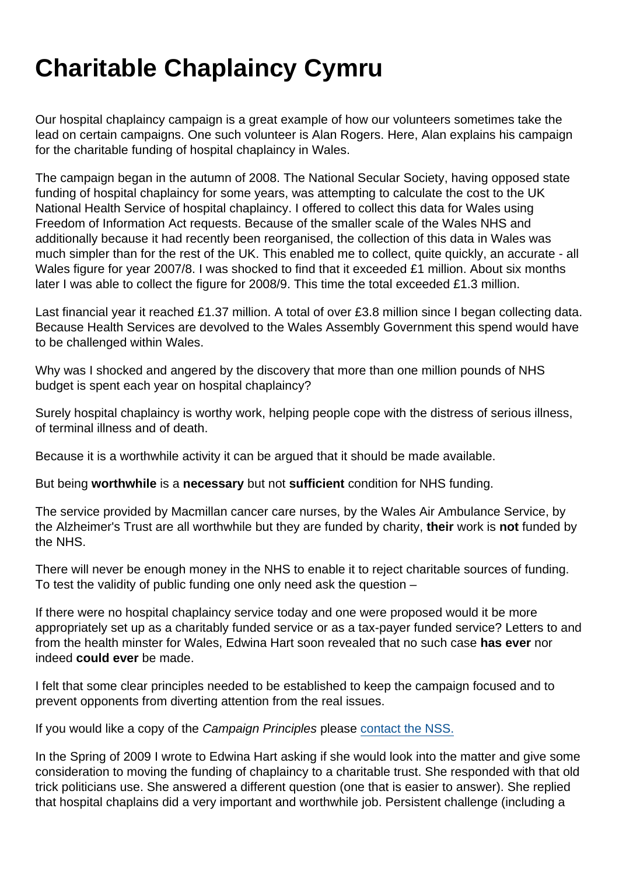## Charitable Chaplaincy Cymru

Our hospital chaplaincy campaign is a great example of how our volunteers sometimes take the lead on certain campaigns. One such volunteer is Alan Rogers. Here, Alan explains his campaign for the charitable funding of hospital chaplaincy in Wales.

The campaign began in the autumn of 2008. The National Secular Society, having opposed state funding of hospital chaplaincy for some years, was attempting to calculate the cost to the UK National Health Service of hospital chaplaincy. I offered to collect this data for Wales using Freedom of Information Act requests. Because of the smaller scale of the Wales NHS and additionally because it had recently been reorganised, the collection of this data in Wales was much simpler than for the rest of the UK. This enabled me to collect, quite quickly, an accurate - all Wales figure for year 2007/8. I was shocked to find that it exceeded £1 million. About six months later I was able to collect the figure for 2008/9. This time the total exceeded £1.3 million.

Last financial year it reached £1.37 million. A total of over £3.8 million since I began collecting data. Because Health Services are devolved to the Wales Assembly Government this spend would have to be challenged within Wales.

Why was I shocked and angered by the discovery that more than one million pounds of NHS budget is spent each year on hospital chaplaincy?

Surely hospital chaplaincy is worthy work, helping people cope with the distress of serious illness, of terminal illness and of death.

Because it is a worthwhile activity it can be argued that it should be made available.

But being worthwhile is a necessary but not sufficient condition for NHS funding.

The service provided by Macmillan cancer care nurses, by the Wales Air Ambulance Service, by the Alzheimer's Trust are all worthwhile but they are funded by charity, their work is not funded by the NHS.

There will never be enough money in the NHS to enable it to reject charitable sources of funding. To test the validity of public funding one only need ask the question –

If there were no hospital chaplaincy service today and one were proposed would it be more appropriately set up as a charitably funded service or as a tax-payer funded service? Letters to and from the health minster for Wales, Edwina Hart soon revealed that no such case has ever nor indeed could ever be made.

I felt that some clear principles needed to be established to keep the campaign focused and to prevent opponents from diverting attention from the real issues.

If you would like a copy of the Campaign Principles please [contact the NSS.](mailto:admin@secularism.org.uk)

In the Spring of 2009 I wrote to Edwina Hart asking if she would look into the matter and give some consideration to moving the funding of chaplaincy to a charitable trust. She responded with that old trick politicians use. She answered a different question (one that is easier to answer). She replied that hospital chaplains did a very important and worthwhile job. Persistent challenge (including a